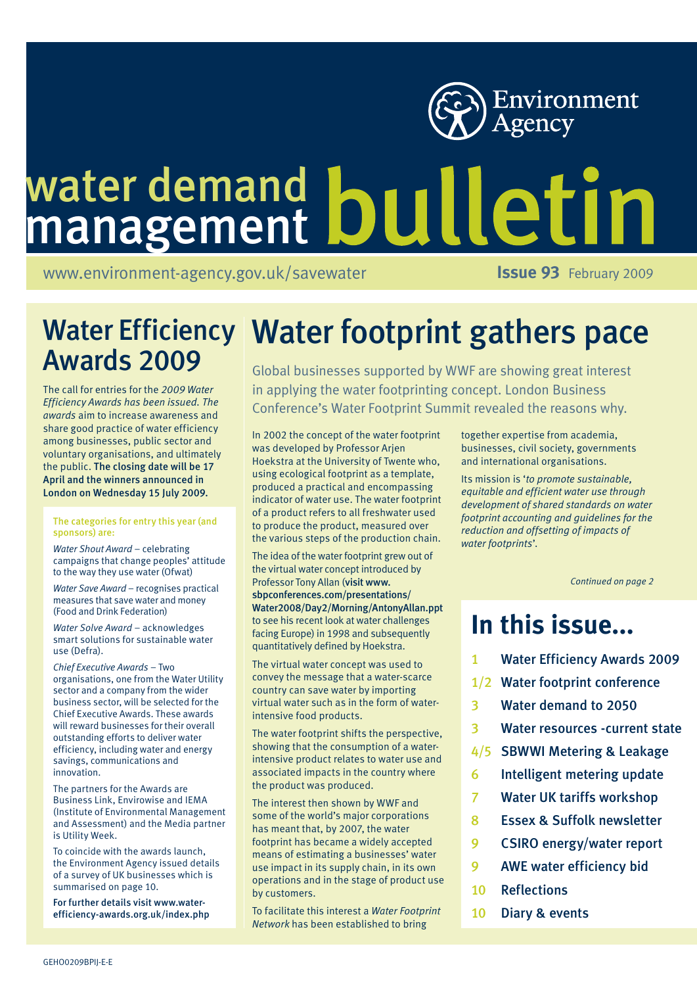

## water demand management

[www.environment-agency.gov.uk/savewater](http://www.environment-agency.gov.uk/savewater) **ISSUE 93** February 2009

# Awards 2009

The call for entries for the *2009 Water Efficiency Awards has been issued. The awards* aim to increase awareness and share good practice of water efficiency among businesses, public sector and voluntary organisations, and ultimately the public. The closing date will be 17 April and the winners announced in London on Wednesday 15 July 2009.

#### The categories for entry this year (and sponsors) are:

*Water Shout Award* – celebrating campaigns that change peoples' attitude to the way they use water (Ofwat)

*Water Save Award* – recognises practical measures that save water and money (Food and Drink Federation)

*Water Solve Award* – acknowledges smart solutions for sustainable water use (Defra).

*Chief Executive Awards* – Two organisations, one from the Water Utility sector and a company from the wider business sector, will be selected for the Chief Executive Awards. These awards will reward businesses for their overall outstanding efforts to deliver water efficiency, including water and energy savings, communications and innovation.

The partners for the Awards are Business Link, Envirowise and IEMA (Institute of Environmental Management and Assessment) and the Media partner is Utility Week.

To coincide with the awards launch, the Environment Agency issued details of a survey of UK businesses which is summarised on page 10.

For further details visit [www.wa](http://www.water-efficiency-awards.org.uk/index.php)ter[efficiency-awards.org.uk/index.php](http://www.water-efficiency-awards.org.uk/index.php)

## Water Efficiency | Water footprint gathers pace

Global businesses supported by WWF are showing great interest in applying the water footprinting concept. London Business Conference's Water Footprint Summit revealed the reasons why.

In 2002 the concept of the water footprint was developed by Professor Arjen Hoekstra at the University of Twente who, using ecological footprint as a template, produced a practical and encompassing indicator of water use. The water footprint of a product refers to all freshwater used to produce the product, measured over the various steps of the production chain.

The idea of the water footprint grew out of the virtual water concept introduced by Professor Tony Allan (visit [www.](http://www.sbpconferences.com/presentations/) [sbpconferences.com/presentations/](http://www.sbpconferences.com/presentations/) Water2008/Day2/Morning/AntonyAllan.ppt to see his recent look at water challenges facing Europe) in 1998 and subsequently quantitatively defined by Hoekstra.

The virtual water concept was used to convey the message that a water-scarce country can save water by importing virtual water such as in the form of waterintensive food products.

The water footprint shifts the perspective, showing that the consumption of a waterintensive product relates to water use and associated impacts in the country where the product was produced.

The interest then shown by WWF and some of the world's major corporations has meant that, by 2007, the water footprint has became a widely accepted means of estimating a businesses' water use impact in its supply chain, in its own operations and in the stage of product use by customers.

To facilitate this interest a *Water Footprint Network* has been established to bring

together expertise from academia, businesses, civil society, governments and international organisations.

Its mission is '*to promote sustainable, equitable and efficient water use through development of shared standards on water footprint accounting and guidelines for the reduction and offsetting of impacts of water footprints*'.

*Continued on page 2*

## **In this issue...**

- 1 Water Efficiency Awards 2009
- 1/2 Water footprint conference
- 3 Water demand to 2050
- 3 Water resources -current state
- 4/5 SBWWI Metering & Leakage
- 6 Intelligent metering update
- 7 Water UK tariffs workshop
- 8 Essex & Suffolk newsletter
- 9 CSIRO energy/water report
- 9 AWE water efficiency bid
- 10 Reflections
- 10 Diary & events